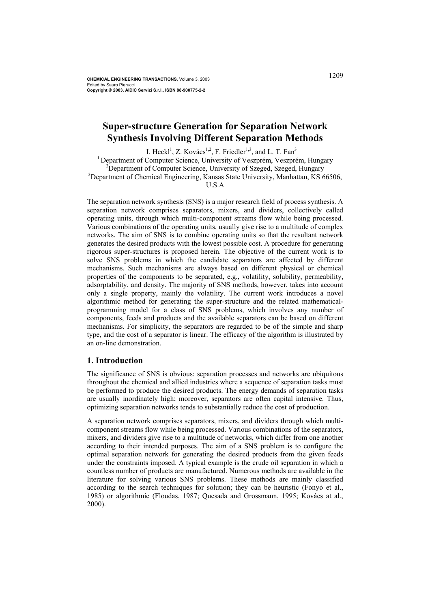**CHEMICAL ENGINEERING TRANSACTIONS**, Volume 3, 2003 Edited by Sauro Pierucci **Copyright © 2003, AIDIC Servizi S.r.l., ISBN 88-900775-2-2** 

# **Super-structure Generation for Separation Network Synthesis Involving Different Separation Methods**

I. Heckl<sup>1</sup>, Z. Kovács<sup>1,2</sup>, F. Friedler<sup>1,3</sup>, and L. T. Fan<sup>3</sup> <sup>1</sup> Department of Computer Science, University of Veszprém, Veszprém, Hungary <sup>2</sup>Department of Computer Science, University of Szeged, Szeged, Hungary <sup>3</sup>Department of Chemical Engineering, Kansas State University, Manhattan, KS 66506, U.S.A

The separation network synthesis (SNS) is a major research field of process synthesis. A separation network comprises separators, mixers, and dividers, collectively called operating units, through which multi-component streams flow while being processed. Various combinations of the operating units, usually give rise to a multitude of complex networks. The aim of SNS is to combine operating units so that the resultant network generates the desired products with the lowest possible cost. A procedure for generating rigorous super-structures is proposed herein. The objective of the current work is to solve SNS problems in which the candidate separators are affected by different mechanisms. Such mechanisms are always based on different physical or chemical properties of the components to be separated, e.g., volatility, solubility, permeability, adsorptability, and density. The majority of SNS methods, however, takes into account only a single property, mainly the volatility. The current work introduces a novel algorithmic method for generating the super-structure and the related mathematicalprogramming model for a class of SNS problems, which involves any number of components, feeds and products and the available separators can be based on different mechanisms. For simplicity, the separators are regarded to be of the simple and sharp type, and the cost of a separator is linear. The efficacy of the algorithm is illustrated by an on-line demonstration.

### **1. Introduction**

The significance of SNS is obvious: separation processes and networks are ubiquitous throughout the chemical and allied industries where a sequence of separation tasks must be performed to produce the desired products. The energy demands of separation tasks are usually inordinately high; moreover, separators are often capital intensive. Thus, optimizing separation networks tends to substantially reduce the cost of production.

A separation network comprises separators, mixers, and dividers through which multicomponent streams flow while being processed. Various combinations of the separators, mixers, and dividers give rise to a multitude of networks, which differ from one another according to their intended purposes. The aim of a SNS problem is to configure the optimal separation network for generating the desired products from the given feeds under the constraints imposed. A typical example is the crude oil separation in which a countless number of products are manufactured. Numerous methods are available in the literature for solving various SNS problems. These methods are mainly classified according to the search techniques for solution; they can be heuristic (Fonyó et al., 1985) or algorithmic (Floudas, 1987; Quesada and Grossmann, 1995; Kovács at al., 2000).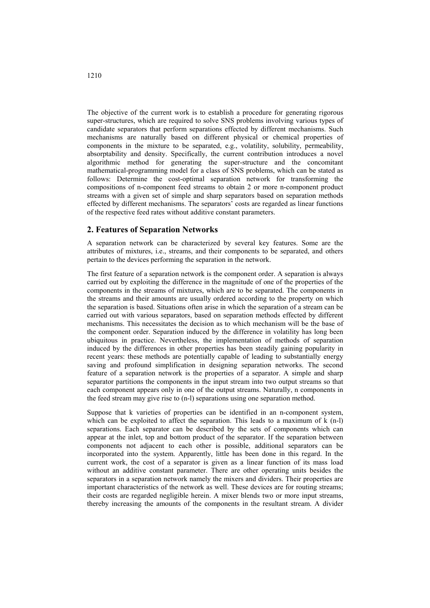The objective of the current work is to establish a procedure for generating rigorous super-structures, which are required to solve SNS problems involving various types of candidate separators that perform separations effected by different mechanisms. Such mechanisms are naturally based on different physical or chemical properties of components in the mixture to be separated, e.g., volatility, solubility, permeability, absorptability and density. Specifically, the current contribution introduces a novel algorithmic method for generating the super-structure and the concomitant mathematical-programming model for a class of SNS problems, which can be stated as follows: Determine the cost-optimal separation network for transforming the compositions of n-component feed streams to obtain 2 or more n-component product streams with a given set of simple and sharp separators based on separation methods effected by different mechanisms. The separators' costs are regarded as linear functions of the respective feed rates without additive constant parameters.

#### **2. Features of Separation Networks**

A separation network can be characterized by several key features. Some are the attributes of mixtures, i.e., streams, and their components to be separated, and others pertain to the devices performing the separation in the network.

The first feature of a separation network is the component order. A separation is always carried out by exploiting the difference in the magnitude of one of the properties of the components in the streams of mixtures, which are to be separated. The components in the streams and their amounts are usually ordered according to the property on which the separation is based. Situations often arise in which the separation of a stream can be carried out with various separators, based on separation methods effected by different mechanisms. This necessitates the decision as to which mechanism will be the base of the component order. Separation induced by the difference in volatility has long been ubiquitous in practice. Nevertheless, the implementation of methods of separation induced by the differences in other properties has been steadily gaining popularity in recent years: these methods are potentially capable of leading to substantially energy saving and profound simplification in designing separation networks. The second feature of a separation network is the properties of a separator. A simple and sharp separator partitions the components in the input stream into two output streams so that each component appears only in one of the output streams. Naturally, n components in the feed stream may give rise to (n-l) separations using one separation method.

Suppose that k varieties of properties can be identified in an n-component system, which can be exploited to affect the separation. This leads to a maximum of k (n-l) separations. Each separator can be described by the sets of components which can appear at the inlet, top and bottom product of the separator. If the separation between components not adjacent to each other is possible, additional separators can be incorporated into the system. Apparently, little has been done in this regard. In the current work, the cost of a separator is given as a linear function of its mass load without an additive constant parameter. There are other operating units besides the separators in a separation network namely the mixers and dividers. Their properties are important characteristics of the network as well. These devices are for routing streams; their costs are regarded negligible herein. A mixer blends two or more input streams, thereby increasing the amounts of the components in the resultant stream. A divider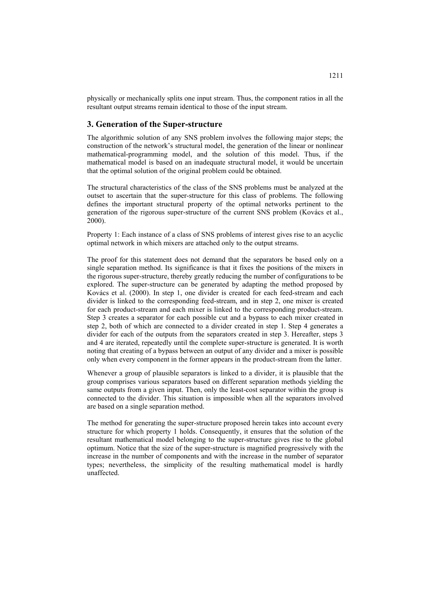physically or mechanically splits one input stream. Thus, the component ratios in all the resultant output streams remain identical to those of the input stream.

## **3. Generation of the Super-structure**

The algorithmic solution of any SNS problem involves the following major steps; the construction of the network's structural model, the generation of the linear or nonlinear mathematical-programming model, and the solution of this model. Thus, if the mathematical model is based on an inadequate structural model, it would be uncertain that the optimal solution of the original problem could be obtained.

The structural characteristics of the class of the SNS problems must be analyzed at the outset to ascertain that the super-structure for this class of problems. The following defines the important structural property of the optimal networks pertinent to the generation of the rigorous super-structure of the current SNS problem (Kovács et al., 2000).

Property 1: Each instance of a class of SNS problems of interest gives rise to an acyclic optimal network in which mixers are attached only to the output streams.

The proof for this statement does not demand that the separators be based only on a single separation method. Its significance is that it fixes the positions of the mixers in the rigorous super-structure, thereby greatly reducing the number of configurations to be explored. The super-structure can be generated by adapting the method proposed by Kovács et al. (2000). In step 1, one divider is created for each feed-stream and each divider is linked to the corresponding feed-stream, and in step 2, one mixer is created for each product-stream and each mixer is linked to the corresponding product-stream. Step 3 creates a separator for each possible cut and a bypass to each mixer created in step 2, both of which are connected to a divider created in step 1. Step 4 generates a divider for each of the outputs from the separators created in step 3. Hereafter, steps 3 and 4 are iterated, repeatedly until the complete super-structure is generated. It is worth noting that creating of a bypass between an output of any divider and a mixer is possible only when every component in the former appears in the product-stream from the latter.

Whenever a group of plausible separators is linked to a divider, it is plausible that the group comprises various separators based on different separation methods yielding the same outputs from a given input. Then, only the least-cost separator within the group is connected to the divider. This situation is impossible when all the separators involved are based on a single separation method.

The method for generating the super-structure proposed herein takes into account every structure for which property 1 holds. Consequently, it ensures that the solution of the resultant mathematical model belonging to the super-structure gives rise to the global optimum. Notice that the size of the super-structure is magnified progressively with the increase in the number of components and with the increase in the number of separator types; nevertheless, the simplicity of the resulting mathematical model is hardly unaffected.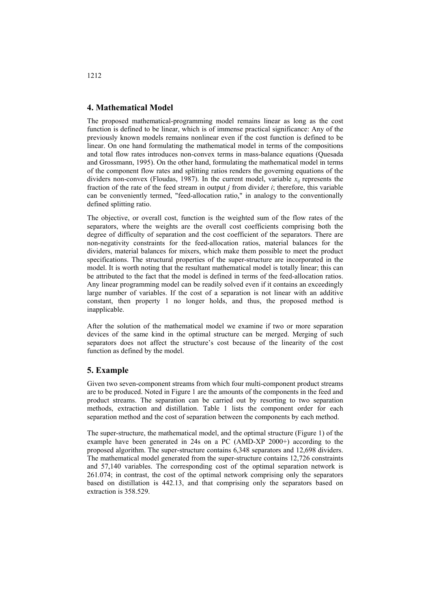## **4. Mathematical Model**

The proposed mathematical-programming model remains linear as long as the cost function is defined to be linear, which is of immense practical significance: Any of the previously known models remains nonlinear even if the cost function is defined to be linear. On one hand formulating the mathematical model in terms of the compositions and total flow rates introduces non-convex terms in mass-balance equations (Quesada and Grossmann, 1995). On the other hand, formulating the mathematical model in terms of the component flow rates and splitting ratios renders the governing equations of the dividers non-convex (Floudas, 1987). In the current model, variable  $x_{ij}$  represents the fraction of the rate of the feed stream in output *j* from divider *i*; therefore, this variable can be conveniently termed, "feed-allocation ratio," in analogy to the conventionally defined splitting ratio.

The objective, or overall cost, function is the weighted sum of the flow rates of the separators, where the weights are the overall cost coefficients comprising both the degree of difficulty of separation and the cost coefficient of the separators. There are non-negativity constraints for the feed-allocation ratios, material balances for the dividers, material balances for mixers, which make them possible to meet the product specifications. The structural properties of the super-structure are incorporated in the model. It is worth noting that the resultant mathematical model is totally linear; this can be attributed to the fact that the model is defined in terms of the feed-allocation ratios. Any linear programming model can be readily solved even if it contains an exceedingly large number of variables. If the cost of a separation is not linear with an additive constant, then property 1 no longer holds, and thus, the proposed method is inapplicable.

After the solution of the mathematical model we examine if two or more separation devices of the same kind in the optimal structure can be merged. Merging of such separators does not affect the structure's cost because of the linearity of the cost function as defined by the model.

### **5. Example**

Given two seven-component streams from which four multi-component product streams are to be produced. Noted in Figure 1 are the amounts of the components in the feed and product streams. The separation can be carried out by resorting to two separation methods, extraction and distillation. Table 1 lists the component order for each separation method and the cost of separation between the components by each method.

The super-structure, the mathematical model, and the optimal structure (Figure 1) of the example have been generated in 24s on a PC (AMD-XP 2000+) according to the proposed algorithm. The super-structure contains 6,348 separators and 12,698 dividers. The mathematical model generated from the super-structure contains 12,726 constraints and 57,140 variables. The corresponding cost of the optimal separation network is 261.074; in contrast, the cost of the optimal network comprising only the separators based on distillation is 442.13, and that comprising only the separators based on extraction is 358.529.

#### 1212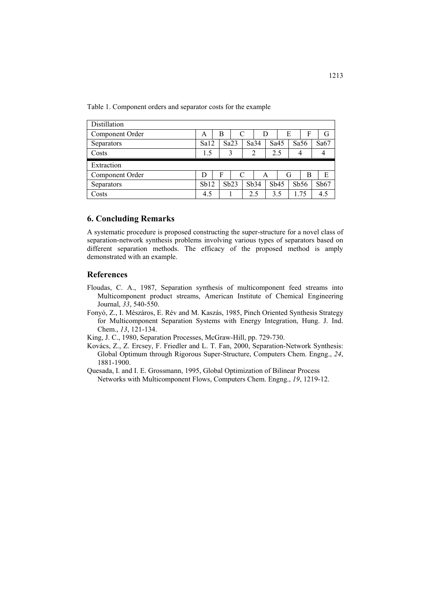Table 1. Component orders and separator costs for the example

| Distillation    |      |      |      |   |      |   |      |      |   |      |  |      |
|-----------------|------|------|------|---|------|---|------|------|---|------|--|------|
| Component Order | A    |      | B    |   |      | D |      | E    |   | F    |  | G    |
| Separators      | Sa12 | Sa23 |      |   | Sa34 |   |      | Sa45 |   | Sa56 |  | Sa67 |
| Costs           | 1.5  | 3    |      |   | 2    |   | 2.5  |      |   |      |  |      |
|                 |      |      |      |   |      |   |      |      |   |      |  |      |
| Extraction      |      |      |      |   |      |   |      |      |   |      |  |      |
| Component Order | D    |      | F    | C |      | A |      |      | G | в    |  | Е    |
| Separators      | Sb12 |      | Sb23 |   | Sb34 |   | Sb45 |      |   | Sb56 |  | Sb67 |

## **6. Concluding Remarks**

A systematic procedure is proposed constructing the super-structure for a novel class of separation-network synthesis problems involving various types of separators based on different separation methods. The efficacy of the proposed method is amply demonstrated with an example.

## **References**

- Floudas, C. A., 1987, Separation synthesis of multicomponent feed streams into Multicomponent product streams, American Institute of Chemical Engineering Journal, *33*, 540-550.
- Fonyó, Z., I. Mészáros, E. Rév and M. Kaszás, 1985, Pinch Oriented Synthesis Strategy for Multicomponent Separation Systems with Energy Integration, Hung. J. Ind. Chem., *13*, 121-134.
- King, J. C., 1980, Separation Processes, McGraw-Hill, pp. 729-730.
- Kovács, Z., Z. Ercsey, F. Friedler and L. T. Fan, 2000, Separation-Network Synthesis: Global Optimum through Rigorous Super-Structure, Computers Chem. Engng., *24*, 1881-1900.
- Quesada, I. and I. E. Grossmann, 1995, Global Optimization of Bilinear Process Networks with Multicomponent Flows, Computers Chem. Engng., *19*, 1219-12.